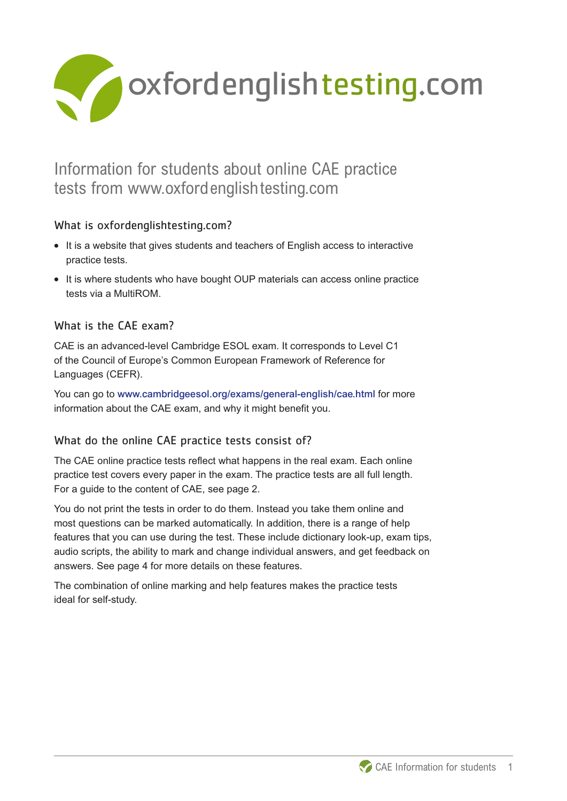

# Information for students about online CAE practice tests from www.oxfordenglishtesting.com

## What is oxfordenglishtesting.com?

- **What is oxfordenglishtesting.com?**<br>• It is a website that gives students and teachers of English access to interactive practice tests.
- **•** It is where students who have bought OUP materials can access online practice tests via a MultiROM.

## What is the CAE exam?

CAE is an advanced-level Cambridge ESOL exam. It corresponds to Level C1 of the Council of Europe's Common European Framework of Reference for Languages (CEFR).

You can go to www.cambridgeesol.org/exams/general-english/cae.html for more information about the CAE exam, and why it might benefit you.

## What do the online CAE practice tests consist of?

The CAE online practice tests reflect what happens in the real exam. Each online practice test covers every paper in the exam. The practice tests are all full length. For a guide to the content of CAE, see page 2.

You do not print the tests in order to do them. Instead you take them online and most questions can be marked automatically. In addition, there is a range of help features that you can use during the test. These include dictionary look-up, exam tips, audio scripts, the ability to mark and change individual answers, and get feedback on answers. See page 4 for more details on these features.

The combination of online marking and help features makes the practice tests ideal for self-study.

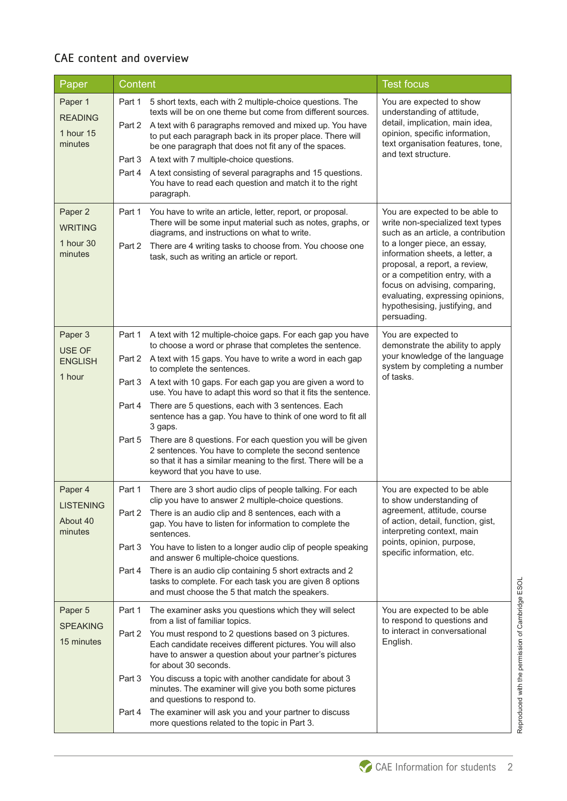## CAE content and overview

| Paper                                              | <b>Content</b>                                                                                                                                                                                                                                                                                                                                                                                                                                                                                                                                                                                                                                                                                                                                            | <b>Test focus</b>                                                                                                                                                                                                                                                                                                                                                    |
|----------------------------------------------------|-----------------------------------------------------------------------------------------------------------------------------------------------------------------------------------------------------------------------------------------------------------------------------------------------------------------------------------------------------------------------------------------------------------------------------------------------------------------------------------------------------------------------------------------------------------------------------------------------------------------------------------------------------------------------------------------------------------------------------------------------------------|----------------------------------------------------------------------------------------------------------------------------------------------------------------------------------------------------------------------------------------------------------------------------------------------------------------------------------------------------------------------|
| Paper 1<br><b>READING</b><br>1 hour 15<br>minutes  | Part 1<br>5 short texts, each with 2 multiple-choice questions. The<br>texts will be on one theme but come from different sources.<br>Part 2 A text with 6 paragraphs removed and mixed up. You have<br>to put each paragraph back in its proper place. There will<br>be one paragraph that does not fit any of the spaces.<br>A text with 7 multiple-choice questions.<br>Part 3<br>A text consisting of several paragraphs and 15 questions.<br>Part 4<br>You have to read each question and match it to the right<br>paragraph.                                                                                                                                                                                                                        | You are expected to show<br>understanding of attitude,<br>detail, implication, main idea,<br>opinion, specific information,<br>text organisation features, tone,<br>and text structure.                                                                                                                                                                              |
| Paper 2<br><b>WRITING</b><br>1 hour 30<br>minutes  | Part 1<br>You have to write an article, letter, report, or proposal.<br>There will be some input material such as notes, graphs, or<br>diagrams, and instructions on what to write.<br>There are 4 writing tasks to choose from. You choose one<br>Part 2<br>task, such as writing an article or report.                                                                                                                                                                                                                                                                                                                                                                                                                                                  | You are expected to be able to<br>write non-specialized text types<br>such as an article, a contribution<br>to a longer piece, an essay,<br>information sheets, a letter, a<br>proposal, a report, a review,<br>or a competition entry, with a<br>focus on advising, comparing,<br>evaluating, expressing opinions,<br>hypothesising, justifying, and<br>persuading. |
| Paper 3<br>USE OF<br><b>ENGLISH</b><br>1 hour      | A text with 12 multiple-choice gaps. For each gap you have<br>Part 1<br>to choose a word or phrase that completes the sentence.<br>Part 2 A text with 15 gaps. You have to write a word in each gap<br>to complete the sentences.<br>A text with 10 gaps. For each gap you are given a word to<br>Part 3<br>use. You have to adapt this word so that it fits the sentence.<br>There are 5 questions, each with 3 sentences. Each<br>Part 4<br>sentence has a gap. You have to think of one word to fit all<br>3 gaps.<br>There are 8 questions. For each question you will be given<br>Part 5<br>2 sentences. You have to complete the second sentence<br>so that it has a similar meaning to the first. There will be a<br>keyword that you have to use. | You are expected to<br>demonstrate the ability to apply<br>your knowledge of the language<br>system by completing a number<br>of tasks.                                                                                                                                                                                                                              |
| Paper 4<br><b>LISTENING</b><br>About 40<br>minutes | Part 1<br>There are 3 short audio clips of people talking. For each<br>clip you have to answer 2 multiple-choice questions.<br>Part 2 There is an audio clip and 8 sentences, each with a<br>gap. You have to listen for information to complete the<br>sentences.<br>You have to listen to a longer audio clip of people speaking<br>Part 3<br>and answer 6 multiple-choice questions.<br>There is an audio clip containing 5 short extracts and 2<br>Part 4<br>tasks to complete. For each task you are given 8 options<br>and must choose the 5 that match the speakers.                                                                                                                                                                               | You are expected to be able<br>to show understanding of<br>agreement, attitude, course<br>of action, detail, function, gist,<br>interpreting context, main<br>points, opinion, purpose,<br>specific information, etc.                                                                                                                                                |
| Paper 5<br><b>SPEAKING</b><br>15 minutes           | The examiner asks you questions which they will select<br>Part 1<br>from a list of familiar topics.<br>You must respond to 2 questions based on 3 pictures.<br>Part 2<br>Each candidate receives different pictures. You will also<br>have to answer a question about your partner's pictures<br>for about 30 seconds.<br>You discuss a topic with another candidate for about 3<br>Part 3<br>minutes. The examiner will give you both some pictures<br>and questions to respond to.<br>The examiner will ask you and your partner to discuss<br>Part 4<br>more questions related to the topic in Part 3.                                                                                                                                                 | You are expected to be able<br>to respond to questions and<br>to interact in conversational<br>English.                                                                                                                                                                                                                                                              |

Reproduced with the permission of Cambridge ESOL Reproduced with the permission of Cambridge ESOL

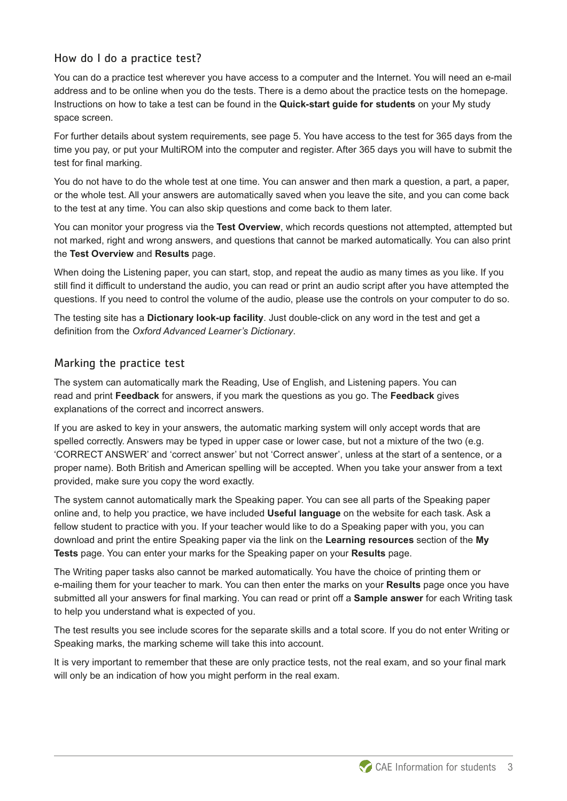#### How do I do a practice test?

You can do a practice test wherever you have access to a computer and the Internet. You will need an e-mail address and to be online when you do the tests. There is a demo about the practice tests on the homepage. Instructions on how to take a test can be found in the **Quick-start guide for students** on your My study space screen.

For further details about system requirements, see page 5. You have access to the test for 365 days from the time you pay, or put your MultiROM into the computer and register. After 365 days you will have to submit the test for final marking.

You do not have to do the whole test at one time. You can answer and then mark a question, a part, a paper, or the whole test. All your answers are automatically saved when you leave the site, and you can come back to the test at any time. You can also skip questions and come back to them later.

You can monitor your progress via the **Test Overview**, which records questions not attempted, attempted but not marked, right and wrong answers, and questions that cannot be marked automatically. You can also print the **Test Overview** and **Results** page.

When doing the Listening paper, you can start, stop, and repeat the audio as many times as you like. If you still find it difficult to understand the audio, you can read or print an audio script after you have attempted the questions. If you need to control the volume of the audio, please use the controls on your computer to do so.

The testing site has a **Dictionary look-up facility**. Just double-click on any word in the test and get a definition from the *Oxford Advanced Learner's Dictionary*.

#### Marking the practice test

The system can automatically mark the Reading, Use of English, and Listening papers. You can read and print **Feedback** for answers, if you mark the questions as you go. The **Feedback** gives explanations of the correct and incorrect answers.

If you are asked to key in your answers, the automatic marking system will only accept words that are spelled correctly. Answers may be typed in upper case or lower case, but not a mixture of the two (e.g. 'CORRECT ANSWER' and 'correct answer' but not 'Correct answer', unless at the start of a sentence, or a proper name). Both British and American spelling will be accepted. When you take your answer from a text provided, make sure you copy the word exactly.

The system cannot automatically mark the Speaking paper. You can see all parts of the Speaking paper online and, to help you practice, we have included **Useful language** on the website for each task. Ask a fellow student to practice with you. If your teacher would like to do a Speaking paper with you, you can download and print the entire Speaking paper via the link on the **Learning resources** section of the **My Tests** page. You can enter your marks for the Speaking paper on your **Results** page.

The Writing paper tasks also cannot be marked automatically. You have the choice of printing them or e-mailing them for your teacher to mark. You can then enter the marks on your **Results** page once you have submitted all your answers for final marking. You can read or print off a **Sample answer** for each Writing task to help you understand what is expected of you.

The test results you see include scores for the separate skills and a total score. If you do not enter Writing or Speaking marks, the marking scheme will take this into account.

It is very important to remember that these are only practice tests, not the real exam, and so your final mark will only be an indication of how you might perform in the real exam.

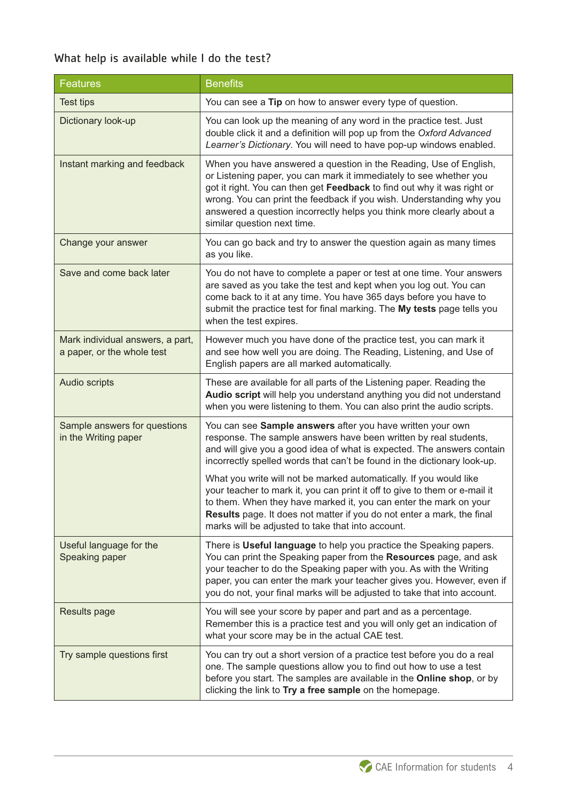## What help is available while I do the test?

| <b>Features</b>                                                | <b>Benefits</b>                                                                                                                                                                                                                                                                                                                                                                                   |  |
|----------------------------------------------------------------|---------------------------------------------------------------------------------------------------------------------------------------------------------------------------------------------------------------------------------------------------------------------------------------------------------------------------------------------------------------------------------------------------|--|
| <b>Test tips</b>                                               | You can see a Tip on how to answer every type of question.                                                                                                                                                                                                                                                                                                                                        |  |
| Dictionary look-up                                             | You can look up the meaning of any word in the practice test. Just<br>double click it and a definition will pop up from the Oxford Advanced<br>Learner's Dictionary. You will need to have pop-up windows enabled.                                                                                                                                                                                |  |
| Instant marking and feedback                                   | When you have answered a question in the Reading, Use of English,<br>or Listening paper, you can mark it immediately to see whether you<br>got it right. You can then get Feedback to find out why it was right or<br>wrong. You can print the feedback if you wish. Understanding why you<br>answered a question incorrectly helps you think more clearly about a<br>similar question next time. |  |
| Change your answer                                             | You can go back and try to answer the question again as many times<br>as you like.                                                                                                                                                                                                                                                                                                                |  |
| Save and come back later                                       | You do not have to complete a paper or test at one time. Your answers<br>are saved as you take the test and kept when you log out. You can<br>come back to it at any time. You have 365 days before you have to<br>submit the practice test for final marking. The My tests page tells you<br>when the test expires.                                                                              |  |
| Mark individual answers, a part,<br>a paper, or the whole test | However much you have done of the practice test, you can mark it<br>and see how well you are doing. The Reading, Listening, and Use of<br>English papers are all marked automatically.                                                                                                                                                                                                            |  |
| Audio scripts                                                  | These are available for all parts of the Listening paper. Reading the<br>Audio script will help you understand anything you did not understand<br>when you were listening to them. You can also print the audio scripts.                                                                                                                                                                          |  |
| Sample answers for questions<br>in the Writing paper           | You can see Sample answers after you have written your own<br>response. The sample answers have been written by real students,<br>and will give you a good idea of what is expected. The answers contain<br>incorrectly spelled words that can't be found in the dictionary look-up.                                                                                                              |  |
|                                                                | What you write will not be marked automatically. If you would like<br>your teacher to mark it, you can print it off to give to them or e-mail it<br>to them. When they have marked it, you can enter the mark on your<br>Results page. It does not matter if you do not enter a mark, the final<br>marks will be adjusted to take that into account.                                              |  |
| Useful language for the<br>Speaking paper                      | There is Useful language to help you practice the Speaking papers.<br>You can print the Speaking paper from the Resources page, and ask<br>your teacher to do the Speaking paper with you. As with the Writing<br>paper, you can enter the mark your teacher gives you. However, even if<br>you do not, your final marks will be adjusted to take that into account.                              |  |
| <b>Results page</b>                                            | You will see your score by paper and part and as a percentage.<br>Remember this is a practice test and you will only get an indication of<br>what your score may be in the actual CAE test.                                                                                                                                                                                                       |  |
| Try sample questions first                                     | You can try out a short version of a practice test before you do a real<br>one. The sample questions allow you to find out how to use a test<br>before you start. The samples are available in the Online shop, or by<br>clicking the link to Try a free sample on the homepage.                                                                                                                  |  |